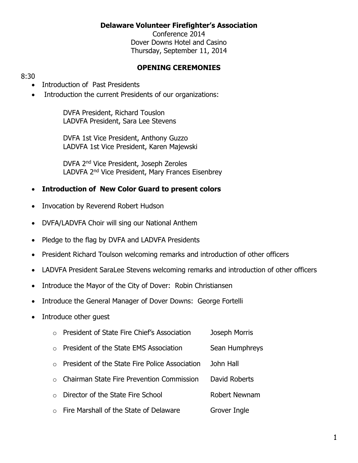#### **Delaware Volunteer Firefighter's Association**

Conference 2014 Dover Downs Hotel and Casino Thursday, September 11, 2014

#### **OPENING CEREMONIES**

#### 8:30

- Introduction of Past Presidents
- Introduction the current Presidents of our organizations:

DVFA President, Richard Touslon LADVFA President, Sara Lee Stevens

DVFA 1st Vice President, Anthony Guzzo LADVFA 1st Vice President, Karen Majewski

DVFA 2nd Vice President, Joseph Zeroles LADVFA 2nd Vice President, Mary Frances Eisenbrey

#### **Introduction of New Color Guard to present colors**

- Invocation by Reverend Robert Hudson
- DVFA/LADVFA Choir will sing our National Anthem
- Pledge to the flag by DVFA and LADVFA Presidents
- President Richard Toulson welcoming remarks and introduction of other officers
- LADVFA President SaraLee Stevens welcoming remarks and introduction of other officers
- Introduce the Mayor of the City of Dover: Robin Christiansen
- Introduce the General Manager of Dover Downs: George Fortelli
- Introduce other guest
	- o President of State Fire Chief's Association Joseph Morris
	- o President of the State EMS Association Sean Humphreys
	- o President of the State Fire Police Association John Hall
	- o Chairman State Fire Prevention Commission David Roberts
	- o Director of the State Fire School **Robert Newnam**
	- $\circ$  Fire Marshall of the State of Delaware Grover Ingle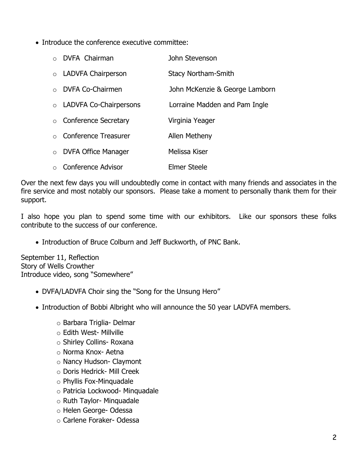• Introduce the conference executive committee:

| o DVFA Chairman          | John Stevenson                 |
|--------------------------|--------------------------------|
| o LADVFA Chairperson     | <b>Stacy Northam-Smith</b>     |
| o DVFA Co-Chairmen       | John McKenzie & George Lamborn |
| o LADVFA Co-Chairpersons | Lorraine Madden and Pam Ingle  |
| ○ Conference Secretary   | Virginia Yeager                |
| o Conference Treasurer   | Allen Metheny                  |
| o DVFA Office Manager    | Melissa Kiser                  |
| ○ Conference Advisor     | <b>Elmer Steele</b>            |

Over the next few days you will undoubtedly come in contact with many friends and associates in the fire service and most notably our sponsors. Please take a moment to personally thank them for their support.

I also hope you plan to spend some time with our exhibitors. Like our sponsors these folks contribute to the success of our conference.

• Introduction of Bruce Colburn and Jeff Buckworth, of PNC Bank.

September 11, Reflection Story of Wells Crowther Introduce video, song "Somewhere"

- DVFA/LADVFA Choir sing the "Song for the Unsung Hero"
- Introduction of Bobbi Albright who will announce the 50 year LADVFA members.
	- o Barbara Triglia- Delmar
	- o Edith West- Millville
	- o Shirley Collins- Roxana
	- o Norma Knox- Aetna
	- o Nancy Hudson- Claymont
	- o Doris Hedrick- Mill Creek
	- o Phyllis Fox-Minquadale
	- o Patricia Lockwood- Minquadale
	- o Ruth Taylor- Minquadale
	- o Helen George- Odessa
	- o Carlene Foraker- Odessa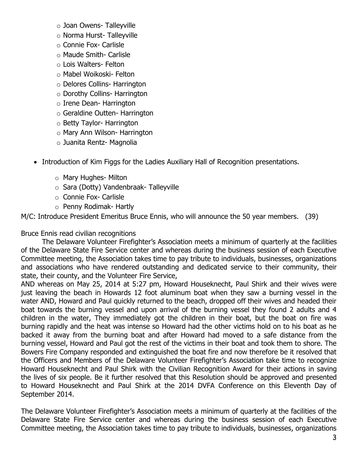- o Joan Owens- Talleyville
- o Norma Hurst- Talleyville
- o Connie Fox- Carlisle
- o Maude Smith- Carlisle
- o Lois Walters- Felton
- o Mabel Woikoski- Felton
- o Delores Collins- Harrington
- o Dorothy Collins- Harrington
- o Irene Dean- Harrington
- o Geraldine Outten- Harrington
- o Betty Taylor- Harrington
- o Mary Ann Wilson- Harrington
- o Juanita Rentz- Magnolia
- Introduction of Kim Figgs for the Ladies Auxiliary Hall of Recognition presentations.
	- o Mary Hughes- Milton
	- o Sara (Dotty) Vandenbraak- Talleyville
	- o Connie Fox- Carlisle
	- o Penny Rodimak- Hartly

M/C: Introduce President Emeritus Bruce Ennis, who will announce the 50 year members. (39)

Bruce Ennis read civilian recognitions

The Delaware Volunteer Firefighter's Association meets a minimum of quarterly at the facilities of the Delaware State Fire Service center and whereas during the business session of each Executive Committee meeting, the Association takes time to pay tribute to individuals, businesses, organizations and associations who have rendered outstanding and dedicated service to their community, their state, their county, and the Volunteer Fire Service,

AND whereas on May 25, 2014 at 5:27 pm, Howard Houseknecht, Paul Shirk and their wives were just leaving the beach in Howards 12 foot aluminum boat when they saw a burning vessel in the water AND, Howard and Paul quickly returned to the beach, dropped off their wives and headed their boat towards the burning vessel and upon arrival of the burning vessel they found 2 adults and 4 children in the water, They immediately got the children in their boat, but the boat on fire was burning rapidly and the heat was intense so Howard had the other victims hold on to his boat as he backed it away from the burning boat and after Howard had moved to a safe distance from the burning vessel, Howard and Paul got the rest of the victims in their boat and took them to shore. The Bowers Fire Company responded and extinguished the boat fire and now therefore be it resolved that the Officers and Members of the Delaware Volunteer Firefighter's Association take time to recognize Howard Houseknecht and Paul Shirk with the Civilian Recognition Award for their actions in saving the lives of six people. Be it further resolved that this Resolution should be approved and presented to Howard Houseknecht and Paul Shirk at the 2014 DVFA Conference on this Eleventh Day of September 2014.

The Delaware Volunteer Firefighter's Association meets a minimum of quarterly at the facilities of the Delaware State Fire Service center and whereas during the business session of each Executive Committee meeting, the Association takes time to pay tribute to individuals, businesses, organizations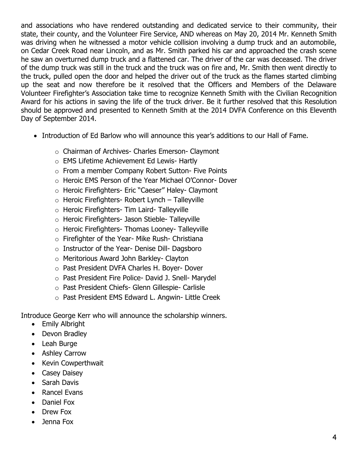and associations who have rendered outstanding and dedicated service to their community, their state, their county, and the Volunteer Fire Service, AND whereas on May 20, 2014 Mr. Kenneth Smith was driving when he witnessed a motor vehicle collision involving a dump truck and an automobile, on Cedar Creek Road near Lincoln, and as Mr. Smith parked his car and approached the crash scene he saw an overturned dump truck and a flattened car. The driver of the car was deceased. The driver of the dump truck was still in the truck and the truck was on fire and, Mr. Smith then went directly to the truck, pulled open the door and helped the driver out of the truck as the flames started climbing up the seat and now therefore be it resolved that the Officers and Members of the Delaware Volunteer Firefighter's Association take time to recognize Kenneth Smith with the Civilian Recognition Award for his actions in saving the life of the truck driver. Be it further resolved that this Resolution should be approved and presented to Kenneth Smith at the 2014 DVFA Conference on this Eleventh Day of September 2014.

- Introduction of Ed Barlow who will announce this year's additions to our Hall of Fame.
	- o Chairman of Archives- Charles Emerson- Claymont
	- o EMS Lifetime Achievement Ed Lewis- Hartly
	- o From a member Company Robert Sutton- Five Points
	- o Heroic EMS Person of the Year Michael O'Connor- Dover
	- o Heroic Firefighters- Eric "Caeser" Haley- Claymont
	- o Heroic Firefighters- Robert Lynch Talleyville
	- o Heroic Firefighters- Tim Laird- Talleyville
	- o Heroic Firefighters- Jason Stieble- Talleyville
	- o Heroic Firefighters- Thomas Looney- Talleyville
	- $\circ$  Firefighter of the Year- Mike Rush- Christiana
	- o Instructor of the Year- Denise Dill- Dagsboro
	- o Meritorious Award John Barkley- Clayton
	- o Past President DVFA Charles H. Boyer- Dover
	- o Past President Fire Police- David J. Snell- Marydel
	- o Past President Chiefs- Glenn Gillespie- Carlisle
	- o Past President EMS Edward L. Angwin- Little Creek

Introduce George Kerr who will announce the scholarship winners.

- Emily Albright
- Devon Bradley
- Leah Burge
- Ashley Carrow
- Kevin Cowperthwait
- Casey Daisey
- Sarah Davis
- Rancel Evans
- Daniel Fox
- Drew Fox
- Jenna Fox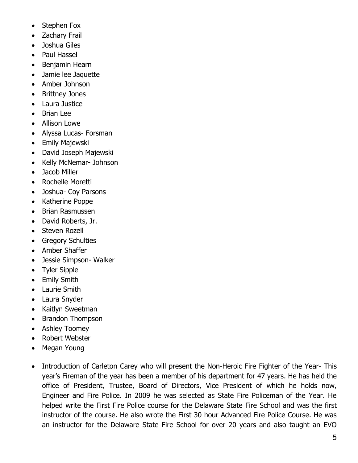- Stephen Fox
- Zachary Frail
- Joshua Giles
- Paul Hassel
- Benjamin Hearn
- Jamie lee Jaquette
- Amber Johnson
- Brittney Jones
- Laura Justice
- Brian Lee
- Allison Lowe
- Alyssa Lucas- Forsman
- Emily Majewski
- David Joseph Majewski
- Kelly McNemar- Johnson
- Jacob Miller
- Rochelle Moretti
- Joshua- Coy Parsons
- Katherine Poppe
- Brian Rasmussen
- David Roberts, Jr.
- Steven Rozell
- Gregory Schulties
- Amber Shaffer
- Jessie Simpson- Walker
- Tyler Sipple
- Emily Smith
- Laurie Smith
- Laura Snyder
- Kaitlyn Sweetman
- Brandon Thompson
- Ashley Toomey
- Robert Webster
- Megan Young
- Introduction of Carleton Carey who will present the Non-Heroic Fire Fighter of the Year- This year's Fireman of the year has been a member of his department for 47 years. He has held the office of President, Trustee, Board of Directors, Vice President of which he holds now, Engineer and Fire Police. In 2009 he was selected as State Fire Policeman of the Year. He helped write the First Fire Police course for the Delaware State Fire School and was the first instructor of the course. He also wrote the First 30 hour Advanced Fire Police Course. He was an instructor for the Delaware State Fire School for over 20 years and also taught an EVO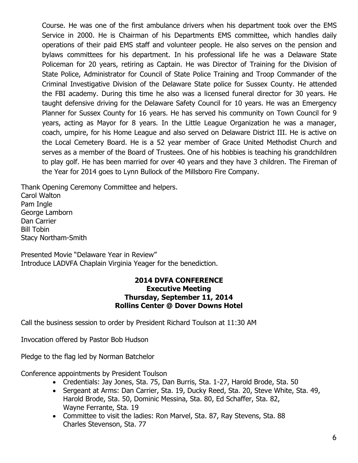Course. He was one of the first ambulance drivers when his department took over the EMS Service in 2000. He is Chairman of his Departments EMS committee, which handles daily operations of their paid EMS staff and volunteer people. He also serves on the pension and bylaws committees for his department. In his professional life he was a Delaware State Policeman for 20 years, retiring as Captain. He was Director of Training for the Division of State Police, Administrator for Council of State Police Training and Troop Commander of the Criminal Investigative Division of the Delaware State police for Sussex County. He attended the FBI academy. During this time he also was a licensed funeral director for 30 years. He taught defensive driving for the Delaware Safety Council for 10 years. He was an Emergency Planner for Sussex County for 16 years. He has served his community on Town Council for 9 years, acting as Mayor for 8 years. In the Little League Organization he was a manager, coach, umpire, for his Home League and also served on Delaware District III. He is active on the Local Cemetery Board. He is a 52 year member of Grace United Methodist Church and serves as a member of the Board of Trustees. One of his hobbies is teaching his grandchildren to play golf. He has been married for over 40 years and they have 3 children. The Fireman of the Year for 2014 goes to Lynn Bullock of the Millsboro Fire Company.

Thank Opening Ceremony Committee and helpers. Carol Walton Pam Ingle George Lamborn Dan Carrier Bill Tobin Stacy Northam-Smith

Presented Movie "Delaware Year in Review" Introduce LADVFA Chaplain Virginia Yeager for the benediction.

#### **2014 DVFA CONFERENCE Executive Meeting Thursday, September 11, 2014 Rollins Center @ Dover Downs Hotel**

Call the business session to order by President Richard Toulson at 11:30 AM

Invocation offered by Pastor Bob Hudson

Pledge to the flag led by Norman Batchelor

Conference appointments by President Toulson

- Credentials: Jay Jones, Sta. 75, Dan Burris, Sta. 1-27, Harold Brode, Sta. 50
- Sergeant at Arms: Dan Carrier, Sta. 19, Ducky Reed, Sta. 20, Steve White, Sta. 49, Harold Brode, Sta. 50, Dominic Messina, Sta. 80, Ed Schaffer, Sta. 82, Wayne Ferrante, Sta. 19
- Committee to visit the ladies: Ron Marvel, Sta. 87, Ray Stevens, Sta. 88 Charles Stevenson, Sta. 77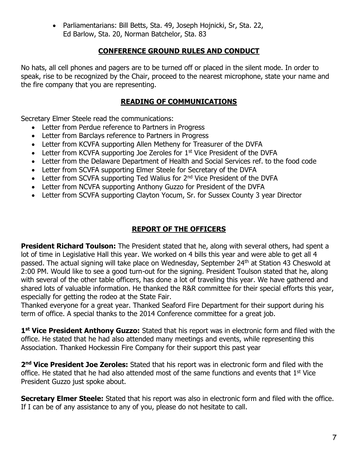Parliamentarians: Bill Betts, Sta. 49, Joseph Hojnicki, Sr, Sta. 22, Ed Barlow, Sta. 20, Norman Batchelor, Sta. 83

## **CONFERENCE GROUND RULES AND CONDUCT**

No hats, all cell phones and pagers are to be turned off or placed in the silent mode. In order to speak, rise to be recognized by the Chair, proceed to the nearest microphone, state your name and the fire company that you are representing.

#### **READING OF COMMUNICATIONS**

Secretary Elmer Steele read the communications:

- Letter from Perdue reference to Partners in Progress
- Letter from Barclays reference to Partners in Progress
- Letter from KCVFA supporting Allen Metheny for Treasurer of the DVFA
- $\bullet$  Letter from KCVFA supporting Joe Zeroles for 1<sup>st</sup> Vice President of the DVFA
- Letter from the Delaware Department of Health and Social Services ref. to the food code
- Letter from SCVFA supporting Elmer Steele for Secretary of the DVFA
- Letter from SCVFA supporting Ted Walius for  $2<sup>nd</sup>$  Vice President of the DVFA
- Letter from NCVFA supporting Anthony Guzzo for President of the DVFA
- Letter from SCVFA supporting Clayton Yocum, Sr. for Sussex County 3 year Director

# **REPORT OF THE OFFICERS**

**President Richard Toulson:** The President stated that he, along with several others, had spent a lot of time in Legislative Hall this year. We worked on 4 bills this year and were able to get all 4 passed. The actual signing will take place on Wednesday, September 24<sup>th</sup> at Station 43 Cheswold at 2:00 PM. Would like to see a good turn-out for the signing. President Toulson stated that he, along with several of the other table officers, has done a lot of traveling this year. We have gathered and shared lots of valuable information. He thanked the R&R committee for their special efforts this year, especially for getting the rodeo at the State Fair.

Thanked everyone for a great year. Thanked Seaford Fire Department for their support during his term of office. A special thanks to the 2014 Conference committee for a great job.

1<sup>st</sup> Vice President Anthony Guzzo: Stated that his report was in electronic form and filed with the office. He stated that he had also attended many meetings and events, while representing this Association. Thanked Hockessin Fire Company for their support this past year

**2 nd Vice President Joe Zeroles:** Stated that his report was in electronic form and filed with the office. He stated that he had also attended most of the same functions and events that  $1<sup>st</sup>$  Vice President Guzzo just spoke about.

**Secretary Elmer Steele:** Stated that his report was also in electronic form and filed with the office. If I can be of any assistance to any of you, please do not hesitate to call.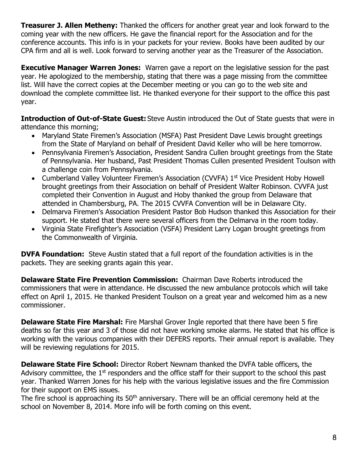**Treasurer J. Allen Metheny:** Thanked the officers for another great year and look forward to the coming year with the new officers. He gave the financial report for the Association and for the conference accounts. This info is in your packets for your review. Books have been audited by our CPA firm and all is well. Look forward to serving another year as the Treasurer of the Association.

**Executive Manager Warren Jones:** Warren gave a report on the legislative session for the past year. He apologized to the membership, stating that there was a page missing from the committee list. Will have the correct copies at the December meeting or you can go to the web site and download the complete committee list. He thanked everyone for their support to the office this past year.

**Introduction of Out-of-State Guest:** Steve Austin introduced the Out of State guests that were in attendance this morning;

- Maryland State Firemen's Association (MSFA) Past President Dave Lewis brought greetings from the State of Maryland on behalf of President David Keller who will be here tomorrow.
- Pennsylvania Firemen's Association, President Sandra Cullen brought greetings from the State of Pennsylvania. Her husband, Past President Thomas Cullen presented President Toulson with a challenge coin from Pennsylvania.
- Cumberland Valley Volunteer Firemen's Association (CVVFA) 1<sup>st</sup> Vice President Hoby Howell brought greetings from their Association on behalf of President Walter Robinson. CVVFA just completed their Convention in August and Hoby thanked the group from Delaware that attended in Chambersburg, PA. The 2015 CVVFA Convention will be in Delaware City.
- Delmarva Firemen's Association President Pastor Bob Hudson thanked this Association for their support. He stated that there were several officers from the Delmarva in the room today.
- Virginia State Firefighter's Association (VSFA) President Larry Logan brought greetings from the Commonwealth of Virginia.

**DVFA Foundation:** Steve Austin stated that a full report of the foundation activities is in the packets. They are seeking grants again this year.

**Delaware State Fire Prevention Commission:** Chairman Dave Roberts introduced the commissioners that were in attendance. He discussed the new ambulance protocols which will take effect on April 1, 2015. He thanked President Toulson on a great year and welcomed him as a new commissioner.

**Delaware State Fire Marshal:** Fire Marshal Grover Ingle reported that there have been 5 fire deaths so far this year and 3 of those did not have working smoke alarms. He stated that his office is working with the various companies with their DEFERS reports. Their annual report is available. They will be reviewing regulations for 2015.

**Delaware State Fire School:** Director Robert Newnam thanked the DVFA table officers, the Advisory committee, the  $1<sup>st</sup>$  responders and the office staff for their support to the school this past year. Thanked Warren Jones for his help with the various legislative issues and the fire Commission for their support on EMS issues.

The fire school is approaching its  $50<sup>th</sup>$  anniversary. There will be an official ceremony held at the school on November 8, 2014. More info will be forth coming on this event.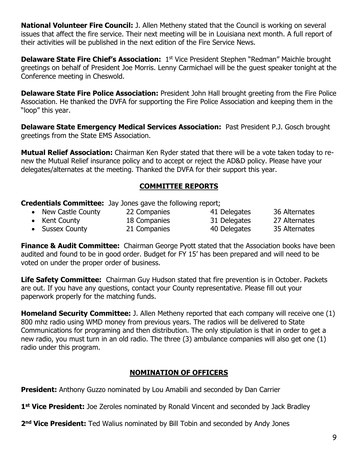**National Volunteer Fire Council:** J. Allen Metheny stated that the Council is working on several issues that affect the fire service. Their next meeting will be in Louisiana next month. A full report of their activities will be published in the next edition of the Fire Service News.

**Delaware State Fire Chief's Association:** 1<sup>st</sup> Vice President Stephen "Redman" Maichle brought greetings on behalf of President Joe Morris. Lenny Carmichael will be the guest speaker tonight at the Conference meeting in Cheswold.

**Delaware State Fire Police Association:** President John Hall brought greeting from the Fire Police Association. He thanked the DVFA for supporting the Fire Police Association and keeping them in the "loop" this year.

**Delaware State Emergency Medical Services Association:** Past President P.J. Gosch brought greetings from the State EMS Association.

**Mutual Relief Association:** Chairman Ken Ryder stated that there will be a vote taken today to renew the Mutual Relief insurance policy and to accept or reject the AD&D policy. Please have your delegates/alternates at the meeting. Thanked the DVFA for their support this year.

## **COMMITTEE REPORTS**

**Credentials Committee:** Jay Jones gave the following report;

- New Castle County 22 Companies 41 Delegates 36 Alternates
- Kent County 18 Companies 31 Delegates 27 Alternates
- Sussex County 21 Companies 40 Delegates 35 Alternates

**Finance & Audit Committee:** Chairman George Pyott stated that the Association books have been audited and found to be in good order. Budget for FY 15' has been prepared and will need to be voted on under the proper order of business.

**Life Safety Committee:** Chairman Guy Hudson stated that fire prevention is in October. Packets are out. If you have any questions, contact your County representative. Please fill out your paperwork properly for the matching funds.

**Homeland Security Committee:** J. Allen Metheny reported that each company will receive one (1) 800 mhz radio using WMD money from previous years. The radios will be delivered to State Communications for programing and then distribution. The only stipulation is that in order to get a new radio, you must turn in an old radio. The three (3) ambulance companies will also get one (1) radio under this program.

# **NOMINATION OF OFFICERS**

**President:** Anthony Guzzo nominated by Lou Amabili and seconded by Dan Carrier

1<sup>st</sup> Vice President: Joe Zeroles nominated by Ronald Vincent and seconded by Jack Bradley

2<sup>nd</sup> Vice President: Ted Walius nominated by Bill Tobin and seconded by Andy Jones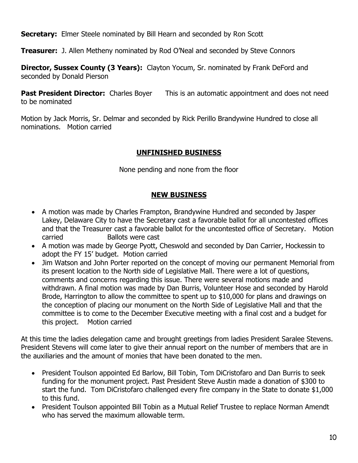**Secretary:** Elmer Steele nominated by Bill Hearn and seconded by Ron Scott

**Treasurer:** J. Allen Metheny nominated by Rod O'Neal and seconded by Steve Connors

**Director, Sussex County (3 Years):** Clayton Yocum, Sr. nominated by Frank DeFord and seconded by Donald Pierson

**Past President Director:** Charles Boyer This is an automatic appointment and does not need to be nominated

Motion by Jack Morris, Sr. Delmar and seconded by Rick Perillo Brandywine Hundred to close all nominations. Motion carried

#### **UNFINISHED BUSINESS**

None pending and none from the floor

# **NEW BUSINESS**

- A motion was made by Charles Frampton, Brandywine Hundred and seconded by Jasper Lakey, Delaware City to have the Secretary cast a favorable ballot for all uncontested offices and that the Treasurer cast a favorable ballot for the uncontested office of Secretary. Motion carried Ballots were cast
- A motion was made by George Pyott, Cheswold and seconded by Dan Carrier, Hockessin to adopt the FY 15' budget. Motion carried
- Jim Watson and John Porter reported on the concept of moving our permanent Memorial from its present location to the North side of Legislative Mall. There were a lot of questions, comments and concerns regarding this issue. There were several motions made and withdrawn. A final motion was made by Dan Burris, Volunteer Hose and seconded by Harold Brode, Harrington to allow the committee to spent up to \$10,000 for plans and drawings on the conception of placing our monument on the North Side of Legislative Mall and that the committee is to come to the December Executive meeting with a final cost and a budget for this project. Motion carried

At this time the ladies delegation came and brought greetings from ladies President Saralee Stevens. President Stevens will come later to give their annual report on the number of members that are in the auxiliaries and the amount of monies that have been donated to the men.

- President Toulson appointed Ed Barlow, Bill Tobin, Tom DiCristofaro and Dan Burris to seek funding for the monument project. Past President Steve Austin made a donation of \$300 to start the fund. Tom DiCristofaro challenged every fire company in the State to donate \$1,000 to this fund.
- President Toulson appointed Bill Tobin as a Mutual Relief Trustee to replace Norman Amendt who has served the maximum allowable term.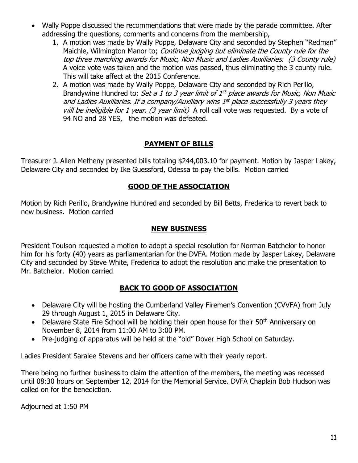- Wally Poppe discussed the recommendations that were made by the parade committee. After addressing the questions, comments and concerns from the membership,
	- 1. A motion was made by Wally Poppe, Delaware City and seconded by Stephen "Redman" Maichle, Wilmington Manor to; Continue judging but eliminate the County rule for the top three marching awards for Music, Non Music and Ladies Auxiliaries. (3 County rule) A voice vote was taken and the motion was passed, thus eliminating the 3 county rule. This will take affect at the 2015 Conference.
	- 2. A motion was made by Wally Poppe, Delaware City and seconded by Rich Perillo, Brandywine Hundred to; Set a 1 to 3 year limit of 1<sup>st</sup> place awards for Music, Non Music and Ladies Auxiliaries. If a company/Auxiliary wins 1st place successfully 3 years they will be ineligible for 1 year. (3 year limit) A roll call vote was requested. By a vote of 94 NO and 28 YES, the motion was defeated.

# **PAYMENT OF BILLS**

Treasurer J. Allen Metheny presented bills totaling \$244,003.10 for payment. Motion by Jasper Lakey, Delaware City and seconded by Ike Guessford, Odessa to pay the bills. Motion carried

## **GOOD OF THE ASSOCIATION**

Motion by Rich Perillo, Brandywine Hundred and seconded by Bill Betts, Frederica to revert back to new business. Motion carried

## **NEW BUSINESS**

President Toulson requested a motion to adopt a special resolution for Norman Batchelor to honor him for his forty (40) years as parliamentarian for the DVFA. Motion made by Jasper Lakey, Delaware City and seconded by Steve White, Frederica to adopt the resolution and make the presentation to Mr. Batchelor. Motion carried

## **BACK TO GOOD OF ASSOCIATION**

- Delaware City will be hosting the Cumberland Valley Firemen's Convention (CVVFA) from July 29 through August 1, 2015 in Delaware City.
- Delaware State Fire School will be holding their open house for their  $50<sup>th</sup>$  Anniversary on November 8, 2014 from 11:00 AM to 3:00 PM.
- Pre-judging of apparatus will be held at the "old" Dover High School on Saturday.

Ladies President Saralee Stevens and her officers came with their yearly report.

There being no further business to claim the attention of the members, the meeting was recessed until 08:30 hours on September 12, 2014 for the Memorial Service. DVFA Chaplain Bob Hudson was called on for the benediction.

Adjourned at 1:50 PM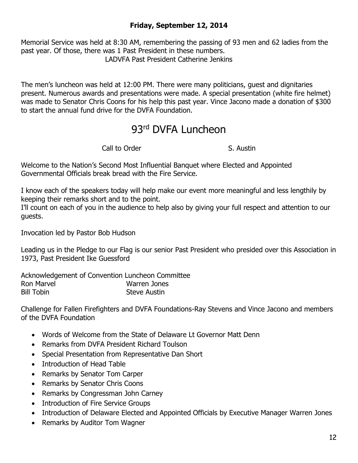# **Friday, September 12, 2014**

Memorial Service was held at 8:30 AM, remembering the passing of 93 men and 62 ladies from the past year. Of those, there was 1 Past President in these numbers. LADVFA Past President Catherine Jenkins

The men's luncheon was held at 12:00 PM. There were many politicians, guest and dignitaries present. Numerous awards and presentations were made. A special presentation (white fire helmet) was made to Senator Chris Coons for his help this past year. Vince Jacono made a donation of \$300 to start the annual fund drive for the DVFA Foundation.

# 93rd DVFA Luncheon

Call to Order S. Austin

Welcome to the Nation's Second Most Influential Banquet where Elected and Appointed Governmental Officials break bread with the Fire Service.

I know each of the speakers today will help make our event more meaningful and less lengthily by keeping their remarks short and to the point.

I'll count on each of you in the audience to help also by giving your full respect and attention to our guests.

Invocation led by Pastor Bob Hudson

Leading us in the Pledge to our Flag is our senior Past President who presided over this Association in 1973, Past President Ike Guessford

Acknowledgement of Convention Luncheon Committee Ron Marvel Warren Jones Bill Tobin Steve Austin

Challenge for Fallen Firefighters and DVFA Foundations-Ray Stevens and Vince Jacono and members of the DVFA Foundation

- Words of Welcome from the State of Delaware Lt Governor Matt Denn
- Remarks from DVFA President Richard Toulson
- Special Presentation from Representative Dan Short
- Introduction of Head Table
- Remarks by Senator Tom Carper
- Remarks by Senator Chris Coons
- Remarks by Congressman John Carney
- Introduction of Fire Service Groups
- Introduction of Delaware Elected and Appointed Officials by Executive Manager Warren Jones
- Remarks by Auditor Tom Wagner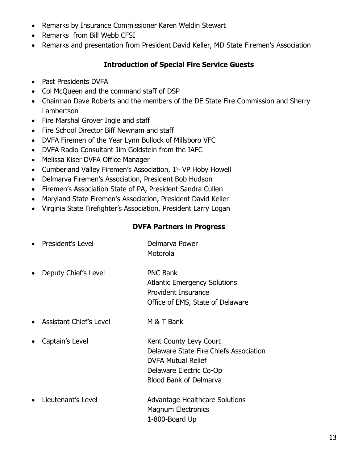- Remarks by Insurance Commissioner Karen Weldin Stewart
- Remarks from Bill Webb CFSI
- Remarks and presentation from President David Keller, MD State Firemen's Association

# **Introduction of Special Fire Service Guests**

- Past Presidents DVFA
- Col McQueen and the command staff of DSP
- Chairman Dave Roberts and the members of the DE State Fire Commission and Sherry Lambertson
- Fire Marshal Grover Ingle and staff
- Fire School Director Biff Newnam and staff
- DVFA Firemen of the Year Lynn Bullock of Millsboro VFC
- DVFA Radio Consultant Jim Goldstein from the IAFC
- Melissa Kiser DVFA Office Manager
- Cumberland Valley Firemen's Association, 1<sup>st</sup> VP Hoby Howell
- Delmarva Firemen's Association, President Bob Hudson
- Firemen's Association State of PA, President Sandra Cullen
- Maryland State Firemen's Association, President David Keller
- Virginia State Firefighter's Association, President Larry Logan

#### **DVFA Partners in Progress**

| President's Level       | Delmarva Power<br>Motorola                                                                                                                                |
|-------------------------|-----------------------------------------------------------------------------------------------------------------------------------------------------------|
| Deputy Chief's Level    | <b>PNC Bank</b><br><b>Atlantic Emergency Solutions</b><br><b>Provident Insurance</b><br>Office of EMS, State of Delaware                                  |
| Assistant Chief's Level | M & T Bank                                                                                                                                                |
| Captain's Level         | Kent County Levy Court<br>Delaware State Fire Chiefs Association<br><b>DVFA Mutual Relief</b><br>Delaware Electric Co-Op<br><b>Blood Bank of Delmarva</b> |
|                         |                                                                                                                                                           |

• Lieutenant's Level Advantage Healthcare Solutions Magnum Electronics 1-800-Board Up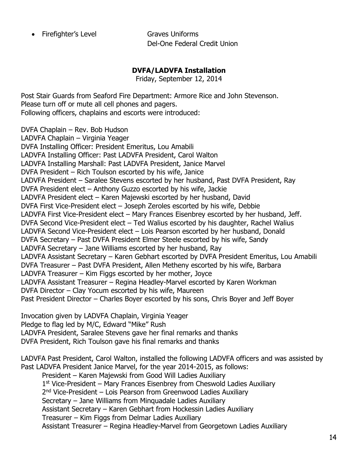Firefighter's Level Graves Uniforms

Del-One Federal Credit Union

# **DVFA/LADVFA Installation**

Friday, September 12, 2014

Post Stair Guards from Seaford Fire Department: Armore Rice and John Stevenson. Please turn off or mute all cell phones and pagers. Following officers, chaplains and escorts were introduced:

DVFA Chaplain – Rev. Bob Hudson

LADVFA Chaplain – Virginia Yeager DVFA Installing Officer: President Emeritus, Lou Amabili LADVFA Installing Officer: Past LADVFA President, Carol Walton LADVFA Installing Marshall: Past LADVFA President, Janice Marvel DVFA President – Rich Toulson escorted by his wife, Janice LADVFA President – Saralee Stevens escorted by her husband, Past DVFA President, Ray DVFA President elect – Anthony Guzzo escorted by his wife, Jackie LADVFA President elect – Karen Majewski escorted by her husband, David DVFA First Vice-President elect – Joseph Zeroles escorted by his wife, Debbie LADVFA First Vice-President elect – Mary Frances Eisenbrey escorted by her husband, Jeff. DVFA Second Vice-President elect – Ted Walius escorted by his daughter, Rachel Walius LADVFA Second Vice-President elect – Lois Pearson escorted by her husband, Donald DVFA Secretary – Past DVFA President Elmer Steele escorted by his wife, Sandy LADVFA Secretary – Jane Williams escorted by her husband, Ray LADVFA Assistant Secretary – Karen Gebhart escorted by DVFA President Emeritus, Lou Amabili DVFA Treasurer – Past DVFA President, Allen Metheny escorted by his wife, Barbara LADVFA Treasurer – Kim Figgs escorted by her mother, Joyce LADVFA Assistant Treasurer – Regina Headley-Marvel escorted by Karen Workman DVFA Director – Clay Yocum escorted by his wife, Maureen Past President Director – Charles Boyer escorted by his sons, Chris Boyer and Jeff Boyer

Invocation given by LADVFA Chaplain, Virginia Yeager Pledge to flag led by M/C, Edward "Mike" Rush LADVFA President, Saralee Stevens gave her final remarks and thanks DVFA President, Rich Toulson gave his final remarks and thanks

LADVFA Past President, Carol Walton, installed the following LADVFA officers and was assisted by Past LADVFA President Janice Marvel, for the year 2014-2015, as follows:

President – Karen Majewski from Good Will Ladies Auxiliary 1<sup>st</sup> Vice-President – Mary Frances Eisenbrey from Cheswold Ladies Auxiliary 2<sup>nd</sup> Vice-President – Lois Pearson from Greenwood Ladies Auxiliary Secretary – Jane Williams from Minquadale Ladies Auxiliary Assistant Secretary – Karen Gebhart from Hockessin Ladies Auxiliary Treasurer – Kim Figgs from Delmar Ladies Auxiliary Assistant Treasurer – Regina Headley-Marvel from Georgetown Ladies Auxiliary